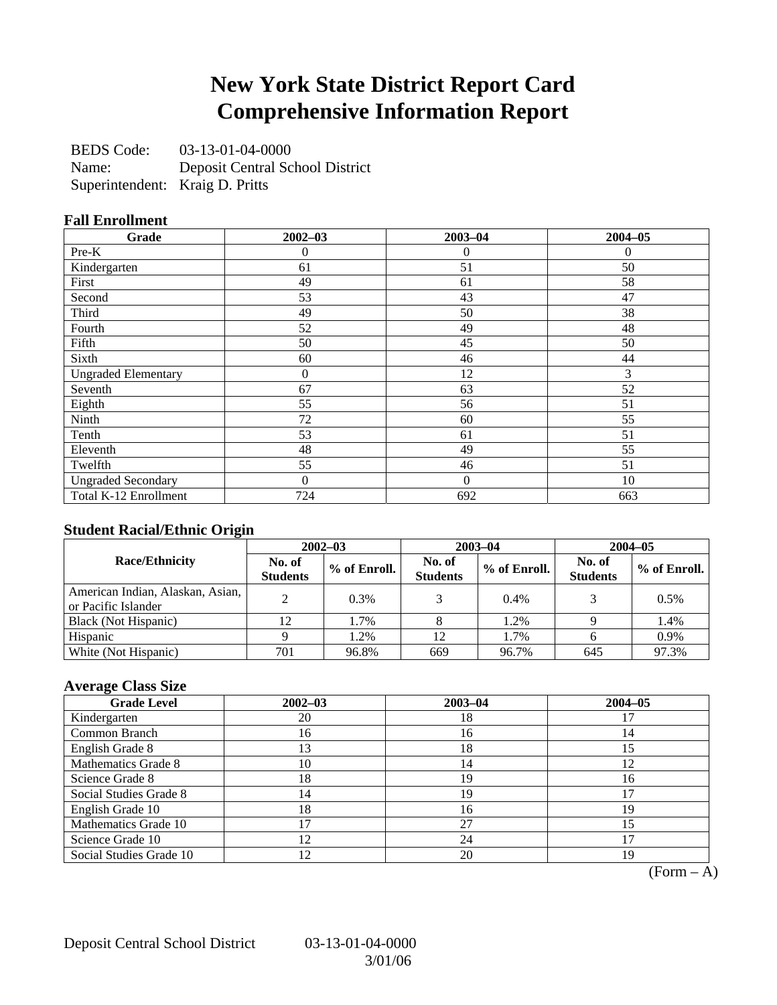### **New York State District Report Card Comprehensive Information Report**

BEDS Code: 03-13-01-04-0000 Name: Deposit Central School District Superintendent: Kraig D. Pritts

### **Fall Enrollment**

| Grade                      | $2002 - 03$      | $2003 - 04$    | $2004 - 05$ |
|----------------------------|------------------|----------------|-------------|
| Pre-K                      | 0                | $\overline{0}$ | $\Omega$    |
| Kindergarten               | 61               | 51             | 50          |
| First                      | 49               | 61             | 58          |
| Second                     | 53               | 43             | 47          |
| Third                      | 49               | 50             | 38          |
| Fourth                     | 52               | 49             | 48          |
| Fifth                      | 50               | 45             | 50          |
| Sixth                      | 60               | 46             | 44          |
| <b>Ungraded Elementary</b> | $\boldsymbol{0}$ | 12             | 3           |
| Seventh                    | 67               | 63             | 52          |
| Eighth                     | 55               | 56             | 51          |
| Ninth                      | 72               | 60             | 55          |
| Tenth                      | 53               | 61             | 51          |
| Eleventh                   | 48               | 49             | 55          |
| Twelfth                    | 55               | 46             | 51          |
| <b>Ungraded Secondary</b>  | 0                | $\mathbf{0}$   | 10          |
| Total K-12 Enrollment      | 724              | 692            | 663         |

### **Student Racial/Ethnic Origin**

|                                                         | $2002 - 03$               |              |                           | $2003 - 04$  | $2004 - 05$               |              |  |
|---------------------------------------------------------|---------------------------|--------------|---------------------------|--------------|---------------------------|--------------|--|
| <b>Race/Ethnicity</b>                                   | No. of<br><b>Students</b> | % of Enroll. | No. of<br><b>Students</b> | % of Enroll. | No. of<br><b>Students</b> | % of Enroll. |  |
| American Indian, Alaskan, Asian,<br>or Pacific Islander |                           | 0.3%         |                           | $0.4\%$      |                           | 0.5%         |  |
| Black (Not Hispanic)                                    |                           | 1.7%         |                           | 1.2%         |                           | 1.4%         |  |
| Hispanic                                                |                           | 1.2%         | 12                        | 1.7%         |                           | 0.9%         |  |
| White (Not Hispanic)                                    | 701                       | 96.8%        | 669                       | 96.7%        | 645                       | 97.3%        |  |

### **Average Class Size**

| <b>Grade Level</b>      | $2002 - 03$   | $2003 - 04$ | $2004 - 05$ |
|-------------------------|---------------|-------------|-------------|
| Kindergarten            | 20            | 18          |             |
| Common Branch           | 16            | 16          | 14          |
| English Grade 8         | 13            | 18          | 15          |
| Mathematics Grade 8     | 10            | 14          | 12          |
| Science Grade 8         | l8            | 19          | 16          |
| Social Studies Grade 8  | 14            | 19          |             |
| English Grade 10        | 18            | 16          | 19          |
| Mathematics Grade 10    |               | 27          | 15          |
| Science Grade 10        | $\mathcal{D}$ | 24          |             |
| Social Studies Grade 10 | 2             | 20          | 19          |

 $(Form - A)$ 

Deposit Central School District 03-13-01-04-0000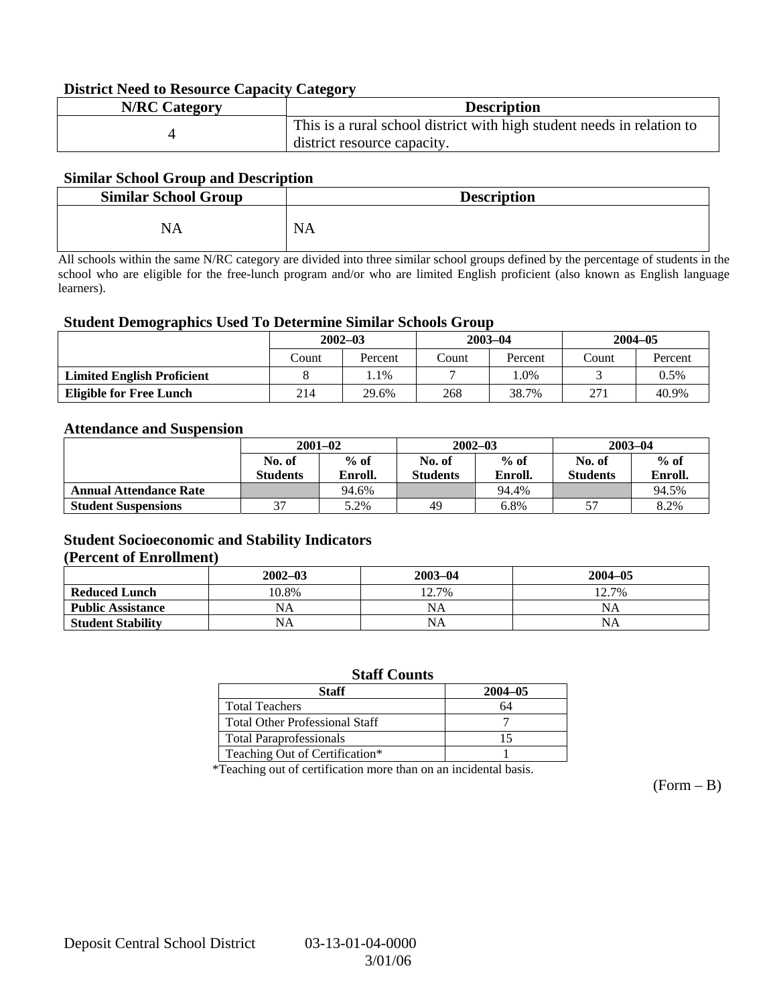#### **District Need to Resource Capacity Category**

| <b>N/RC</b> Category | <b>Description</b>                                                     |
|----------------------|------------------------------------------------------------------------|
|                      | This is a rural school district with high student needs in relation to |
|                      | district resource capacity.                                            |

#### **Similar School Group and Description**

| <b>Similar School Group</b> | <b>Description</b> |
|-----------------------------|--------------------|
| NA                          | <b>NA</b>          |

All schools within the same N/RC category are divided into three similar school groups defined by the percentage of students in the school who are eligible for the free-lunch program and/or who are limited English proficient (also known as English language learners).

#### **Student Demographics Used To Determine Similar Schools Group**

|                                   | $2002 - 03$ |         |       | $2003 - 04$ | $2004 - 05$ |         |
|-----------------------------------|-------------|---------|-------|-------------|-------------|---------|
|                                   | Count       | Percent | Count | Percent     | Count       | Percent |
| <b>Limited English Proficient</b> |             | $.1\%$  |       | $.0\%$      |             | 0.5%    |
| <b>Eligible for Free Lunch</b>    | 214         | 29.6%   | 268   | 38.7%       | 271         | 40.9%   |

#### **Attendance and Suspension**

|                               | $2001 - 02$     |         |                 | $2002 - 03$ | $2003 - 04$     |         |  |
|-------------------------------|-----------------|---------|-----------------|-------------|-----------------|---------|--|
|                               | No. of          | $%$ of  | No. of          | $%$ of      | No. of          | $%$ of  |  |
|                               | <b>Students</b> | Enroll. | <b>Students</b> | Enroll.     | <b>Students</b> | Enroll. |  |
| <b>Annual Attendance Rate</b> |                 | 94.6%   |                 | 94.4%       |                 | 94.5%   |  |
| <b>Student Suspensions</b>    | 37              | 5.2%    | 49              | 6.8%        |                 | 8.2%    |  |

#### **Student Socioeconomic and Stability Indicators (Percent of Enrollment)**

|                          | $2002 - 03$ | $2003 - 04$ | $2004 - 05$ |
|--------------------------|-------------|-------------|-------------|
| <b>Reduced Lunch</b>     | 10.8%       | 12.7%       | 12.7%       |
| <b>Public Assistance</b> | NA          | NA          | NA          |
| <b>Student Stability</b> | NA          | NA          | NA          |

#### **Staff Counts**

| Staff                                 | $2004 - 05$ |
|---------------------------------------|-------------|
| <b>Total Teachers</b>                 | 64          |
| <b>Total Other Professional Staff</b> |             |
| <b>Total Paraprofessionals</b>        |             |
| Teaching Out of Certification*        |             |

\*Teaching out of certification more than on an incidental basis.

 $(Form - B)$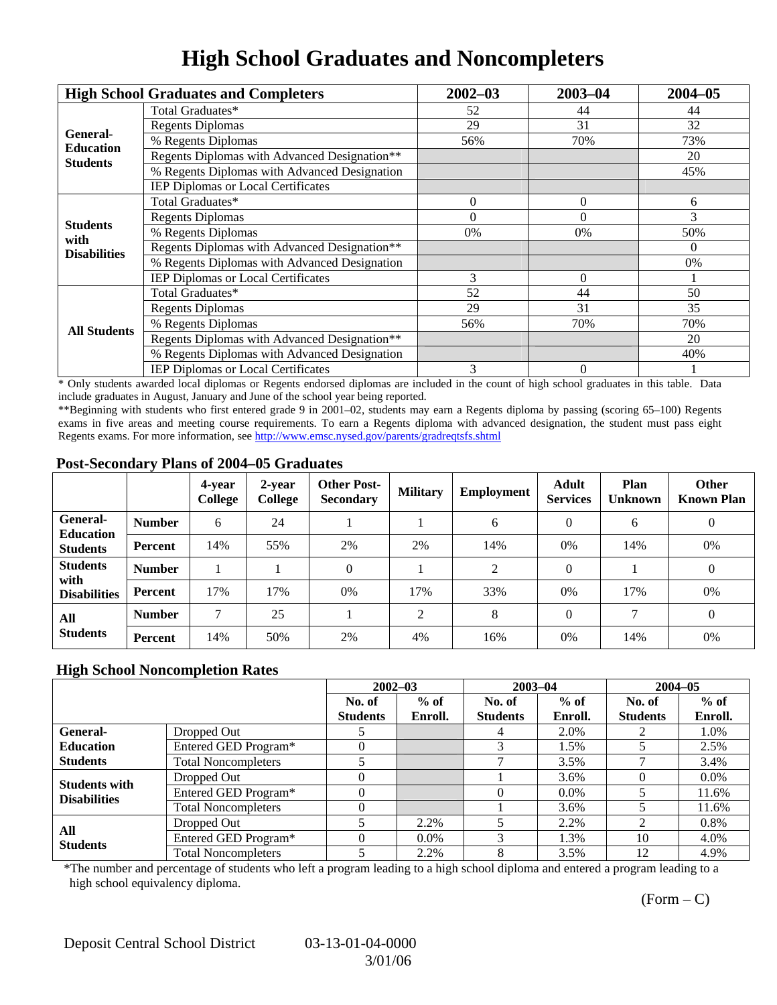## **High School Graduates and Noncompleters**

|                         | <b>High School Graduates and Completers</b>  | $2002 - 03$                                                                                              | $2003 - 04$ | $2004 - 05$ |
|-------------------------|----------------------------------------------|----------------------------------------------------------------------------------------------------------|-------------|-------------|
|                         | Total Graduates*                             | 52                                                                                                       | 44          | 44          |
| General-                | <b>Regents Diplomas</b>                      | 29<br>31<br>70%<br>56%<br>$\theta$<br>$\Omega$<br>$\Omega$<br>$\Omega$<br>0%<br>0%                       |             | 32          |
| <b>Education</b>        | % Regents Diplomas                           |                                                                                                          |             | 73%         |
| <b>Students</b>         | Regents Diplomas with Advanced Designation** |                                                                                                          |             | 20          |
|                         | % Regents Diplomas with Advanced Designation |                                                                                                          |             | 45%         |
|                         | IEP Diplomas or Local Certificates           |                                                                                                          |             |             |
|                         | Total Graduates*                             |                                                                                                          |             | 6           |
|                         | <b>Regents Diplomas</b>                      |                                                                                                          |             | 3           |
| <b>Students</b><br>with | % Regents Diplomas                           |                                                                                                          |             | 50%         |
| <b>Disabilities</b>     | Regents Diplomas with Advanced Designation** | $\theta$<br>3<br>$\Omega$<br>52<br>44<br>50<br>29<br>35<br>31<br>56%<br>70%<br>20<br>3<br>$\overline{0}$ |             |             |
|                         | % Regents Diplomas with Advanced Designation |                                                                                                          | 0%          |             |
|                         | IEP Diplomas or Local Certificates           |                                                                                                          |             |             |
|                         | Total Graduates*                             |                                                                                                          |             |             |
|                         | <b>Regents Diplomas</b>                      |                                                                                                          |             |             |
| <b>All Students</b>     | % Regents Diplomas                           |                                                                                                          |             | 70%         |
|                         | Regents Diplomas with Advanced Designation** |                                                                                                          |             |             |
|                         | % Regents Diplomas with Advanced Designation |                                                                                                          |             | 40%         |
|                         | IEP Diplomas or Local Certificates           |                                                                                                          |             |             |

\* Only students awarded local diplomas or Regents endorsed diplomas are included in the count of high school graduates in this table. Data include graduates in August, January and June of the school year being reported.

\*\*Beginning with students who first entered grade 9 in 2001–02, students may earn a Regents diploma by passing (scoring 65–100) Regents exams in five areas and meeting course requirements. To earn a Regents diploma with advanced designation, the student must pass eight Regents exams. For more information, see http://www.emsc.nysed.gov/parents/gradreqtsfs.shtml

#### **Post-Secondary Plans of 2004–05 Graduates**

|                                                |                | 4-year<br>College | 2-year<br>College | <b>Other Post-</b><br><b>Secondary</b> | <b>Military</b> | <b>Employment</b> | <b>Adult</b><br><b>Services</b> | Plan<br><b>Unknown</b> | <b>Other</b><br><b>Known Plan</b> |
|------------------------------------------------|----------------|-------------------|-------------------|----------------------------------------|-----------------|-------------------|---------------------------------|------------------------|-----------------------------------|
| <b>General-</b><br><b>Education</b>            | <b>Number</b>  | 6                 | 24                |                                        |                 | 6                 | $\Omega$                        | 6                      | $\mathbf{0}$                      |
| <b>Students</b>                                | <b>Percent</b> | 14%               | 55%               | 2%                                     | 2%              | 14%               | $0\%$                           | 14%                    | 0%                                |
| <b>Students</b><br>with<br><b>Disabilities</b> | <b>Number</b>  |                   |                   | $\Omega$                               |                 | 2                 | $\Omega$                        |                        | $\theta$                          |
|                                                | <b>Percent</b> | 17%               | 17%               | 0%                                     | 17%             | 33%               | $0\%$                           | 17%                    | 0%                                |
| All<br><b>Students</b>                         | <b>Number</b>  | ⇁                 | 25                |                                        | ↑               | 8                 | $\Omega$                        |                        | $\theta$                          |
|                                                | Percent        | 14%               | 50%               | 2%                                     | 4%              | 16%               | 0%                              | 14%                    | 0%                                |

### **High School Noncompletion Rates**

|                        |                            | $2002 - 03$     |         | $2003 - 04$     |         | $2004 - 05$     |         |
|------------------------|----------------------------|-----------------|---------|-----------------|---------|-----------------|---------|
|                        |                            | No. of          | $%$ of  | No. of          | $%$ of  | No. of          | $%$ of  |
|                        |                            | <b>Students</b> | Enroll. | <b>Students</b> | Enroll. | <b>Students</b> | Enroll. |
| General-               | Dropped Out                |                 |         |                 | 2.0%    |                 | 1.0%    |
| <b>Education</b>       | Entered GED Program*       |                 |         |                 | 1.5%    |                 | 2.5%    |
| <b>Students</b>        | <b>Total Noncompleters</b> |                 |         |                 | 3.5%    |                 | 3.4%    |
| <b>Students with</b>   | Dropped Out                |                 |         |                 | 3.6%    |                 | $0.0\%$ |
| <b>Disabilities</b>    | Entered GED Program*       |                 |         |                 | $0.0\%$ |                 | 11.6%   |
|                        | <b>Total Noncompleters</b> |                 |         |                 | 3.6%    |                 | 11.6%   |
| All<br><b>Students</b> | Dropped Out                |                 | 2.2%    |                 | 2.2%    | $\mathfrak{D}$  | 0.8%    |
|                        | Entered GED Program*       |                 | $0.0\%$ | 3               | 1.3%    | 10              | 4.0%    |
|                        | <b>Total Noncompleters</b> |                 | 2.2%    | 8               | 3.5%    | 12              | 4.9%    |

\*The number and percentage of students who left a program leading to a high school diploma and entered a program leading to a high school equivalency diploma.

 $(Form - C)$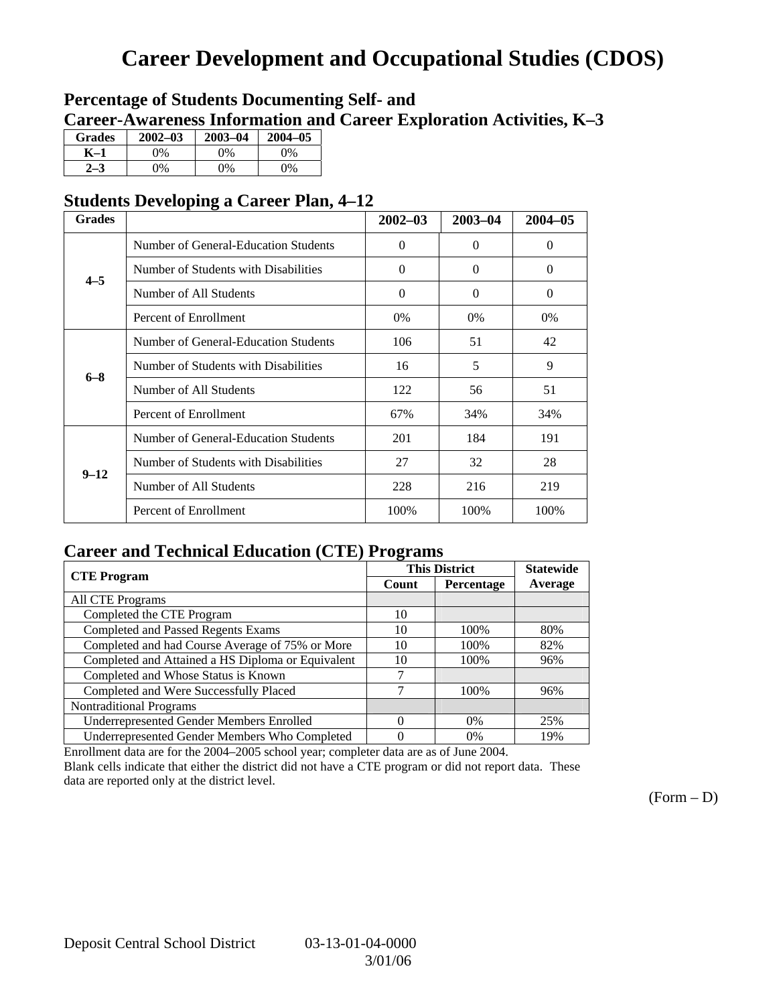## **Career Development and Occupational Studies (CDOS)**

### **Percentage of Students Documenting Self- and Career-Awareness Information and Career Exploration Activities, K–3**

| <b>Grades</b> | $2002 - 03$ | $2003 - 04$ | $2004 - 05$ |
|---------------|-------------|-------------|-------------|
| K–1           | 0%          | $0\%$       | $0\%$       |
| $2 - 3$       | 9%          | $0\%$       | $0\%$       |

### **Students Developing a Career Plan, 4–12**

| <b>Grades</b> |                                      | $2002 - 03$ | 2003-04  | $2004 - 05$ |
|---------------|--------------------------------------|-------------|----------|-------------|
|               | Number of General-Education Students | $\Omega$    | $\Omega$ | $\Omega$    |
| $4 - 5$       | Number of Students with Disabilities | $\Omega$    | $\Omega$ | $\Omega$    |
|               | Number of All Students               | $\Omega$    | $\Omega$ | $\Omega$    |
|               | Percent of Enrollment                | 0%          | $0\%$    | $0\%$       |
|               | Number of General-Education Students | 106         | 51       | 42          |
| $6 - 8$       | Number of Students with Disabilities | 16          | 5        | 9           |
|               | Number of All Students               | 122         | 56       | 51          |
|               | Percent of Enrollment                | 67%         | 34%      | 34%         |
|               | Number of General-Education Students | 201         | 184      | 191         |
| $9 - 12$      | Number of Students with Disabilities | 27          | 32       | 28          |
|               | Number of All Students               | 228         | 216      | 219         |
|               | Percent of Enrollment                | 100%        | 100%     | 100%        |

### **Career and Technical Education (CTE) Programs**

| <b>CTE Program</b>                                |          | <b>This District</b> | <b>Statewide</b> |  |
|---------------------------------------------------|----------|----------------------|------------------|--|
|                                                   | Count    | Percentage           |                  |  |
| <b>All CTE Programs</b>                           |          |                      |                  |  |
| Completed the CTE Program                         | 10       |                      |                  |  |
| <b>Completed and Passed Regents Exams</b>         | 10       | 100%                 | 80%              |  |
| Completed and had Course Average of 75% or More   | 10       | 100%                 | 82%              |  |
| Completed and Attained a HS Diploma or Equivalent | 10       | 100%                 | 96%              |  |
| Completed and Whose Status is Known               |          |                      |                  |  |
| Completed and Were Successfully Placed            | 7        | 100%                 | 96%              |  |
| <b>Nontraditional Programs</b>                    |          |                      |                  |  |
| <b>Underrepresented Gender Members Enrolled</b>   | $\Omega$ | 0%                   | 25%              |  |
| Underrepresented Gender Members Who Completed     | 0        | 0%                   | 19%              |  |

Enrollment data are for the 2004–2005 school year; completer data are as of June 2004.

Blank cells indicate that either the district did not have a CTE program or did not report data. These data are reported only at the district level.

 $(Form - D)$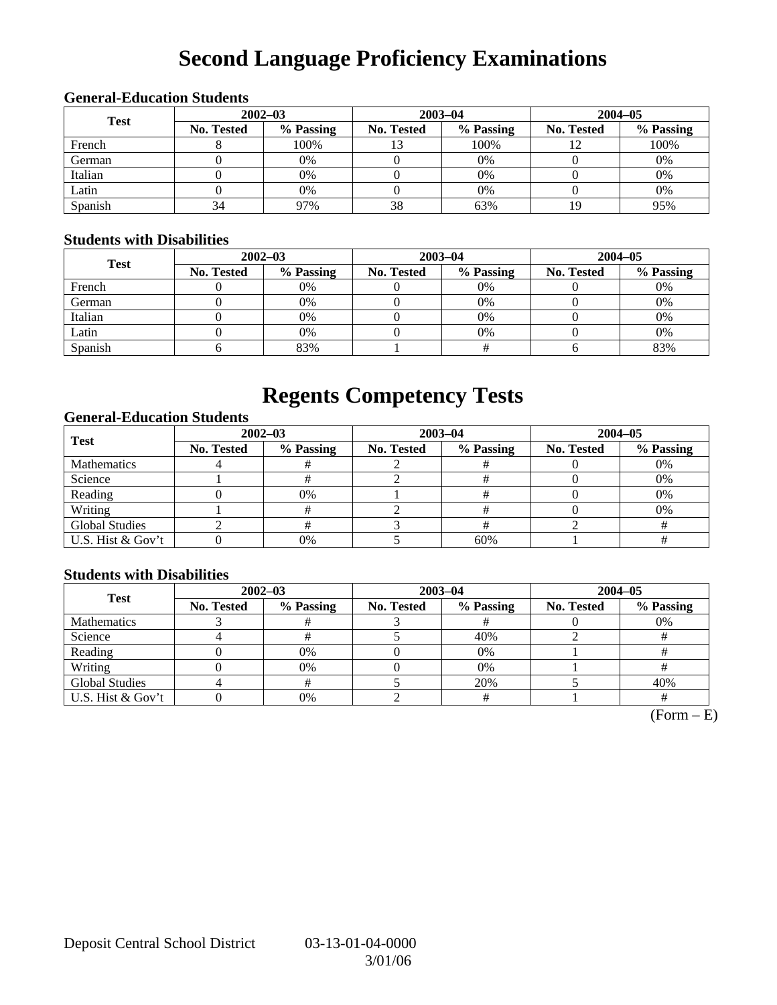# **Second Language Proficiency Examinations**

|             | <b>General-Education Students</b> |             |            |             |             |           |  |  |  |  |  |
|-------------|-----------------------------------|-------------|------------|-------------|-------------|-----------|--|--|--|--|--|
| <b>Test</b> |                                   | $2002 - 03$ |            | $2003 - 04$ | $2004 - 05$ |           |  |  |  |  |  |
|             | <b>No. Tested</b>                 | % Passing   | No. Tested | % Passing   | No. Tested  | % Passing |  |  |  |  |  |
| French      |                                   | 100%        |            | 100%        |             | 100%      |  |  |  |  |  |
| German      |                                   | 0%          |            | 0%          |             | 0%        |  |  |  |  |  |
| Italian     |                                   | 0%          |            | 0%          |             | 0%        |  |  |  |  |  |
| Latin       |                                   | 0%          |            | 0%          |             | 0%        |  |  |  |  |  |
| Spanish     | 34                                | 97%         | 38         | 63%         | 19          | 95%       |  |  |  |  |  |

#### **General-Education Students**

#### **Students with Disabilities**

| <b>Test</b> | $2002 - 03$       |           |            | $2003 - 04$ | $2004 - 05$       |           |  |
|-------------|-------------------|-----------|------------|-------------|-------------------|-----------|--|
|             | <b>No. Tested</b> | % Passing | No. Tested | % Passing   | <b>No. Tested</b> | % Passing |  |
| French      |                   | 0%        |            | 0%          |                   | 0%        |  |
| German      |                   | 0%        |            | 0%          |                   | 0%        |  |
| Italian     |                   | 0%        |            | $0\%$       |                   | 0%        |  |
| Latin       |                   | 0%        |            | $0\%$       |                   | 0%        |  |
| Spanish     |                   | 83%       |            |             |                   | 83%       |  |

### **Regents Competency Tests**

### **General-Education Students**

| <b>Test</b>           |                   | $2002 - 03$ |            | $2003 - 04$ | $2004 - 05$       |           |  |
|-----------------------|-------------------|-------------|------------|-------------|-------------------|-----------|--|
|                       | <b>No. Tested</b> | % Passing   | No. Tested | % Passing   | <b>No. Tested</b> | % Passing |  |
| <b>Mathematics</b>    |                   |             |            |             |                   | 0%        |  |
| Science               |                   |             |            |             |                   | 0%        |  |
| Reading               |                   | 0%          |            |             |                   | 0%        |  |
| Writing               |                   |             |            |             |                   | 0%        |  |
| <b>Global Studies</b> |                   |             |            |             |                   |           |  |
| U.S. Hist & Gov't     |                   | 0%          |            | 60%         |                   |           |  |

### **Students with Disabilities**

| <b>Test</b>           | $2002 - 03$ |           | $2003 - 04$ |           | $2004 - 05$ |           |  |
|-----------------------|-------------|-----------|-------------|-----------|-------------|-----------|--|
|                       | No. Tested  | % Passing | No. Tested  | % Passing | No. Tested  | % Passing |  |
| <b>Mathematics</b>    |             |           |             |           |             | 0%        |  |
| Science               |             |           |             | 40%       |             |           |  |
| Reading               |             | 0%        |             | 0%        |             |           |  |
| Writing               |             | 0%        |             | $0\%$     |             |           |  |
| <b>Global Studies</b> |             |           |             | 20%       |             | 40%       |  |
| U.S. Hist & Gov't     |             | 0%        |             |           |             |           |  |

 $\overline{(Form - E)}$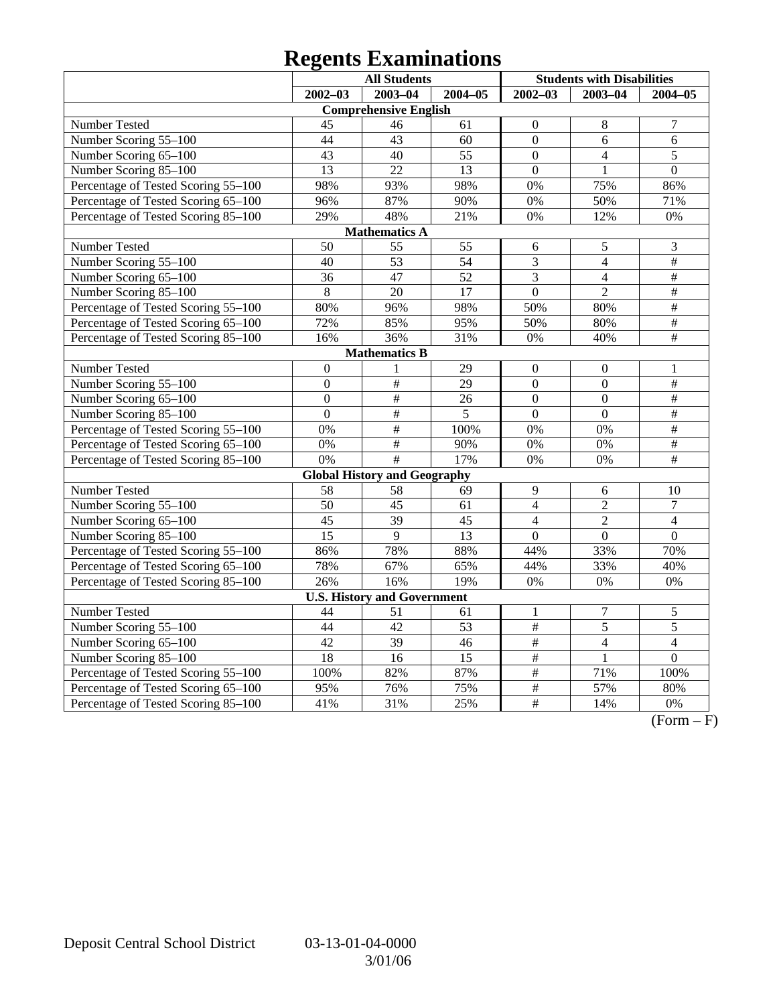# **Regents Examinations**

|                                     | <b>All Students</b> |                                     |                 | <b>Students with Disabilities</b> |                  |                  |
|-------------------------------------|---------------------|-------------------------------------|-----------------|-----------------------------------|------------------|------------------|
|                                     | $2002 - 03$         | $2003 - 04$                         | $2004 - 05$     | $2002 - 03$                       | 2003-04          | $2004 - 05$      |
|                                     |                     | <b>Comprehensive English</b>        |                 |                                   |                  |                  |
| Number Tested                       | 45                  | 46                                  | 61              | $\boldsymbol{0}$                  | $8\,$            | $\overline{7}$   |
| Number Scoring 55-100               | 44                  | 43                                  | 60              | $\overline{0}$                    | 6                | 6                |
| Number Scoring 65-100               | 43                  | 40                                  | $\overline{55}$ | $\overline{0}$                    | $\overline{4}$   | $\overline{5}$   |
| Number Scoring 85-100               | $\overline{13}$     | $\overline{22}$                     | $\overline{13}$ | $\overline{0}$                    | 1                | $\overline{0}$   |
| Percentage of Tested Scoring 55-100 | 98%                 | 93%                                 | 98%             | 0%                                | 75%              | 86%              |
| Percentage of Tested Scoring 65-100 | 96%                 | 87%                                 | 90%             | 0%                                | 50%              | 71%              |
| Percentage of Tested Scoring 85-100 | 29%                 | 48%                                 | 21%             | 0%                                | 12%              | 0%               |
|                                     |                     | <b>Mathematics A</b>                |                 |                                   |                  |                  |
| Number Tested                       | 50                  | 55                                  | 55              | 6                                 | $\mathfrak s$    | 3                |
| Number Scoring 55-100               | 40                  | $\overline{53}$                     | $\overline{54}$ | 3                                 | $\overline{4}$   | #                |
| Number Scoring 65-100               | 36                  | 47                                  | $\overline{52}$ | $\overline{3}$                    | $\overline{4}$   | #                |
| Number Scoring 85-100               | $\overline{8}$      | $\overline{20}$                     | $\overline{17}$ | $\overline{0}$                    | $\overline{2}$   | $\#$             |
| Percentage of Tested Scoring 55-100 | 80%                 | 96%                                 | 98%             | 50%                               | 80%              | $\overline{\#}$  |
| Percentage of Tested Scoring 65-100 | 72%                 | 85%                                 | 95%             | 50%                               | 80%              | $\overline{\#}$  |
| Percentage of Tested Scoring 85-100 | 16%                 | 36%                                 | 31%             | 0%                                | 40%              | $\overline{\#}$  |
|                                     |                     | <b>Mathematics B</b>                |                 |                                   |                  |                  |
| Number Tested                       | $\mathbf{0}$        | 1                                   | 29              | $\mathbf{0}$                      | $\boldsymbol{0}$ | $\mathbf{1}$     |
| Number Scoring 55-100               | $\boldsymbol{0}$    | #                                   | $\overline{29}$ | $\overline{0}$                    | $\overline{0}$   | $\overline{\#}$  |
| Number Scoring 65-100               | $\overline{0}$      | #                                   | 26              | $\overline{0}$                    | $\overline{0}$   | #                |
| Number Scoring 85-100               | $\overline{0}$      | #                                   | 5               | $\overline{0}$                    | $\overline{0}$   | #                |
| Percentage of Tested Scoring 55-100 | 0%                  | $\overline{\#}$                     | 100%            | 0%                                | 0%               | $\overline{\#}$  |
| Percentage of Tested Scoring 65-100 | 0%                  | $\#$                                | 90%             | 0%                                | 0%               | $\#$             |
| Percentage of Tested Scoring 85-100 | $0\%$               | #                                   | 17%             | 0%                                | 0%               | $\#$             |
|                                     |                     | <b>Global History and Geography</b> |                 |                                   |                  |                  |
| Number Tested                       | 58                  | 58                                  | 69              | 9                                 | 6                | 10               |
| Number Scoring $5\overline{5-100}$  | $\overline{50}$     | $\overline{45}$                     | $\overline{61}$ | $\overline{4}$                    | $\overline{2}$   | $\tau$           |
| Number Scoring 65-100               | 45                  | 39                                  | 45              | $\overline{4}$                    | $\overline{2}$   | $\overline{4}$   |
| Number Scoring 85-100               | $\overline{15}$     | $\overline{9}$                      | $\overline{13}$ | $\overline{0}$                    | $\overline{0}$   | $\overline{0}$   |
| Percentage of Tested Scoring 55-100 | 86%                 | 78%                                 | 88%             | 44%                               | 33%              | 70%              |
| Percentage of Tested Scoring 65-100 | 78%                 | 67%                                 | 65%             | 44%                               | 33%              | 40%              |
| Percentage of Tested Scoring 85-100 | 26%                 | 16%                                 | 19%             | 0%                                | $0\%$            | 0%               |
|                                     |                     | <b>U.S. History and Government</b>  |                 |                                   |                  |                  |
| Number Tested                       | 44                  | 51                                  | 61              | 1                                 | $\boldsymbol{7}$ | 5                |
| Number Scoring 55-100               | 44                  | $\overline{42}$                     | $\overline{53}$ | #                                 | 5                | 5                |
| Number Scoring 65-100               | 42                  | 39                                  | 46              | $\#$                              | $\overline{4}$   | $\overline{4}$   |
| Number Scoring 85-100               | 18                  | 16                                  | 15              | $\#$                              |                  | $\boldsymbol{0}$ |
| Percentage of Tested Scoring 55-100 | 100%                | 82%                                 | 87%             | #                                 | 71%              | 100%             |
| Percentage of Tested Scoring 65-100 | 95%                 | 76%                                 | 75%             | $\#$                              | 57%              | 80%              |
| Percentage of Tested Scoring 85-100 | 41%                 | 31%                                 | 25%             | $\#$                              | 14%              | 0%               |

 $\overline{(Form - F)}$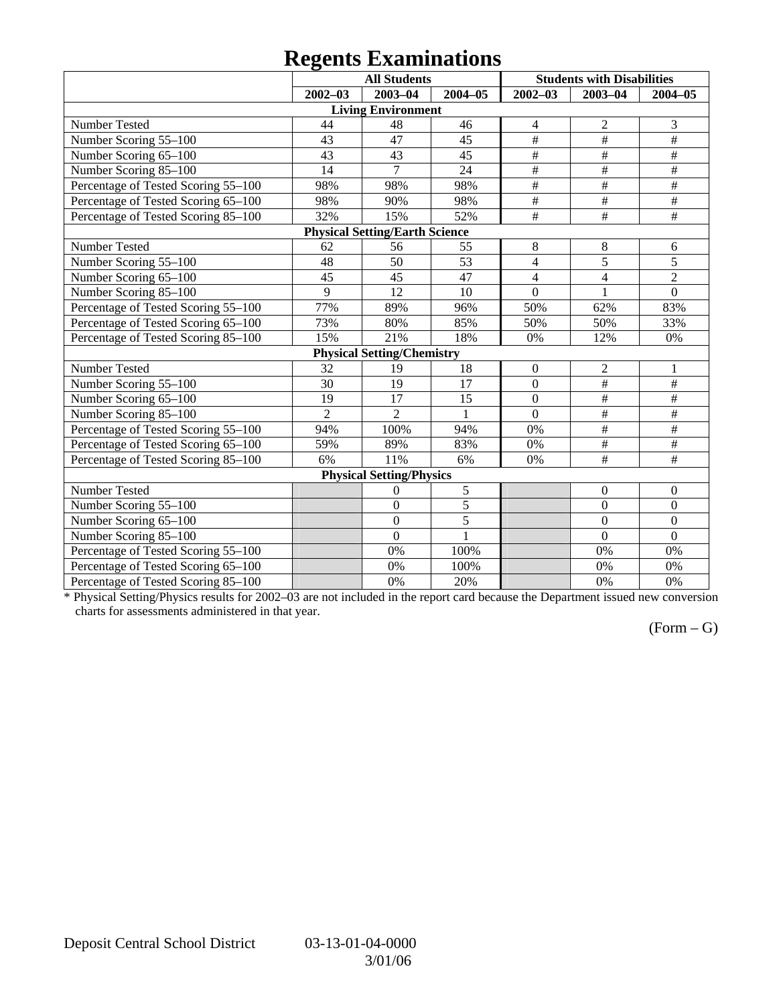## **Regents Examinations**

|                                     |                | <b>All Students</b>                   |                |                           | <b>Students with Disabilities</b> |                         |
|-------------------------------------|----------------|---------------------------------------|----------------|---------------------------|-----------------------------------|-------------------------|
|                                     | $2002 - 03$    | 2003-04                               | $2004 - 05$    | $2002 - 03$               | $2003 - 04$                       | 2004-05                 |
|                                     |                | <b>Living Environment</b>             |                |                           |                                   |                         |
| Number Tested                       | 44             | 48                                    | 46             | 4                         | $\mathfrak{2}$                    | 3                       |
| Number Scoring 55-100               | 43             | 47                                    | 45             | $\overline{\#}$           | $\overline{\#}$                   | $\overline{\ddot{}}$    |
| Number Scoring 65-100               | 43             | 43                                    | 45             | $\overline{\#}$           | $\#$                              | $\#$                    |
| Number Scoring 85-100               | 14             | 7                                     | 24             | $\#$                      | $\#$                              | $\#$                    |
| Percentage of Tested Scoring 55-100 | 98%            | 98%                                   | 98%            | $\#$                      | $\#$                              | $\#$                    |
| Percentage of Tested Scoring 65-100 | 98%            | 90%                                   | 98%            | $\overline{\overline{H}}$ | $\overline{\#}$                   | $\#$                    |
| Percentage of Tested Scoring 85-100 | 32%            | 15%                                   | 52%            | $\overline{\#}$           | $\overline{\#}$                   | $\overline{\ddot{\pi}}$ |
|                                     |                | <b>Physical Setting/Earth Science</b> |                |                           |                                   |                         |
| Number Tested                       | 62             | 56                                    | 55             | 8                         | 8                                 | 6                       |
| Number Scoring 55-100               | 48             | 50                                    | 53             | $\overline{\mathbf{4}}$   | $\overline{5}$                    | 5                       |
| Number Scoring 65-100               | 45             | 45                                    | 47             | 4                         | $\overline{4}$                    | $\overline{2}$          |
| Number Scoring 85-100               | 9              | 12                                    | 10             | $\mathbf{0}$              | $\mathbf{1}$                      | $\mathbf{0}$            |
| Percentage of Tested Scoring 55-100 | 77%            | 89%                                   | 96%            | 50%                       | 62%                               | 83%                     |
| Percentage of Tested Scoring 65-100 | 73%            | 80%                                   | 85%            | 50%                       | 50%                               | 33%                     |
| Percentage of Tested Scoring 85-100 | 15%            | 21%                                   | 18%            | 0%                        | 12%                               | 0%                      |
|                                     |                | <b>Physical Setting/Chemistry</b>     |                |                           |                                   |                         |
| Number Tested                       | 32             | 19                                    | 18             | $\boldsymbol{0}$          | $\overline{2}$                    | 1                       |
| Number Scoring 55-100               | 30             | $\overline{19}$                       | 17             | $\overline{0}$            | $\overline{\#}$                   | #                       |
| Number Scoring 65-100               | 19             | 17                                    | 15             | $\overline{0}$            | $\overline{\#}$                   | $\#$                    |
| Number Scoring 85-100               | $\overline{2}$ | $\overline{2}$                        | 1              | $\mathbf{0}$              | $\overline{\#}$                   | $\#$                    |
| Percentage of Tested Scoring 55-100 | 94%            | 100%                                  | 94%            | 0%                        | $\overline{\#}$                   | #                       |
| Percentage of Tested Scoring 65-100 | 59%            | 89%                                   | 83%            | 0%                        | $\#$                              | #                       |
| Percentage of Tested Scoring 85-100 | 6%             | 11%                                   | 6%             | 0%                        | $\#$                              | $\#$                    |
|                                     |                | <b>Physical Setting/Physics</b>       |                |                           |                                   |                         |
| Number Tested                       |                | $\theta$                              | $\sqrt{5}$     |                           | $\boldsymbol{0}$                  | $\mathbf{0}$            |
| Number Scoring 55-100               |                | $\mathbf{0}$                          | $\overline{5}$ |                           | $\mathbf{0}$                      | $\mathbf{0}$            |
| Number Scoring 65-100               |                | $\overline{0}$                        | 5              |                           | $\overline{0}$                    | $\overline{0}$          |
| Number Scoring 85-100               |                | $\overline{0}$                        | $\mathbf{1}$   |                           | $\Omega$                          | $\overline{0}$          |
| Percentage of Tested Scoring 55-100 |                | 0%                                    | 100%           |                           | 0%                                | 0%                      |
| Percentage of Tested Scoring 65-100 |                | 0%                                    | 100%           |                           | 0%                                | 0%                      |
| Percentage of Tested Scoring 85-100 |                | 0%                                    | 20%            |                           | 0%                                | 0%                      |

\* Physical Setting/Physics results for 2002–03 are not included in the report card because the Department issued new conversion charts for assessments administered in that year.

### $(Form - G)$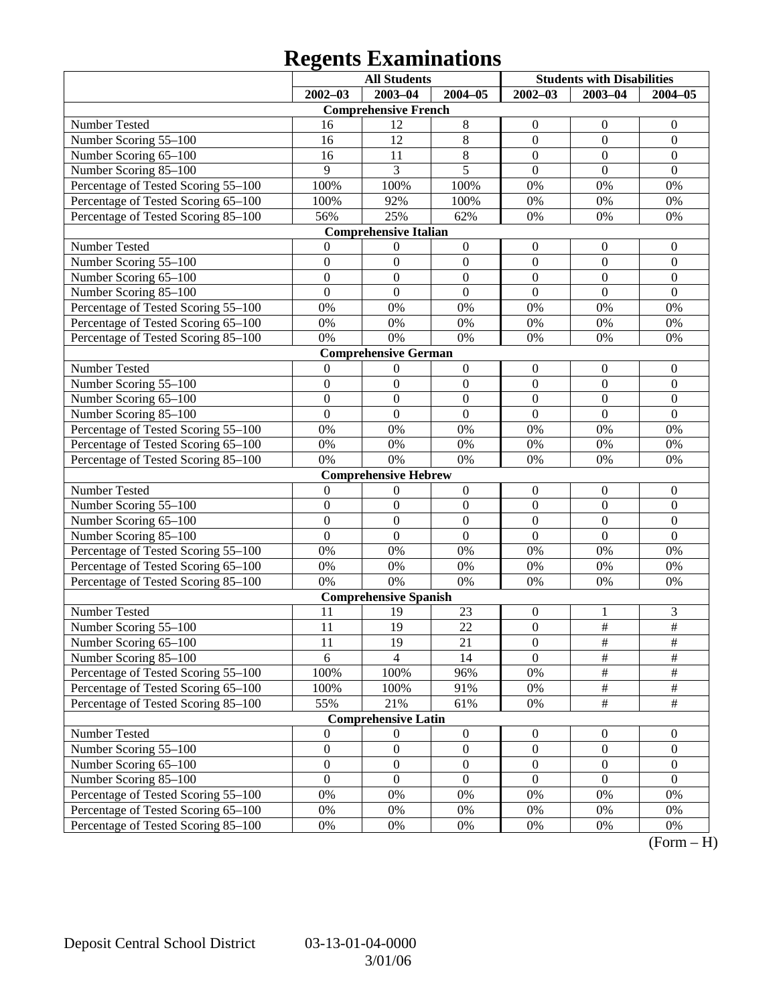## **Regents Examinations**

|                                                                            | <b>All Students</b> |                              |                  | <b>Students with Disabilities</b>  |                      |                      |
|----------------------------------------------------------------------------|---------------------|------------------------------|------------------|------------------------------------|----------------------|----------------------|
|                                                                            | $2002 - 03$         | 2003-04                      | $2004 - 05$      | $2002 - 03$                        | $2003 - 04$          | $2004 - 05$          |
|                                                                            |                     | <b>Comprehensive French</b>  |                  |                                    |                      |                      |
| Number Tested                                                              | 16                  | 12                           | 8                | $\boldsymbol{0}$                   | $\boldsymbol{0}$     | $\mathbf{0}$         |
| Number Scoring 55-100                                                      | 16                  | 12                           | $\overline{8}$   | $\boldsymbol{0}$                   | $\mathbf{0}$         | $\boldsymbol{0}$     |
| Number Scoring 65-100                                                      | 16                  | 11                           | $\overline{8}$   | $\boldsymbol{0}$                   | $\mathbf{0}$         | $\boldsymbol{0}$     |
| Number Scoring 85-100                                                      | 9                   | 3                            | $\overline{5}$   | $\boldsymbol{0}$                   | $\mathbf{0}$         | $\mathbf{0}$         |
| Percentage of Tested Scoring 55-100                                        | 100%                | 100%                         | 100%             | $0\%$                              | 0%                   | 0%                   |
| Percentage of Tested Scoring 65-100                                        | 100%                | 92%                          | 100%             | 0%                                 | 0%                   | 0%                   |
| Percentage of Tested Scoring 85-100                                        | 56%                 | 25%                          | 62%              | 0%                                 | 0%                   | 0%                   |
|                                                                            |                     | <b>Comprehensive Italian</b> |                  |                                    |                      |                      |
| Number Tested                                                              | 0                   | $\boldsymbol{0}$             | $\boldsymbol{0}$ | $\boldsymbol{0}$                   | $\boldsymbol{0}$     | $\mathbf{0}$         |
| Number Scoring 55-100                                                      | $\boldsymbol{0}$    | $\boldsymbol{0}$             | $\boldsymbol{0}$ | $\boldsymbol{0}$                   | $\boldsymbol{0}$     | $\boldsymbol{0}$     |
| Number Scoring 65-100                                                      | $\boldsymbol{0}$    | $\boldsymbol{0}$             | $\boldsymbol{0}$ | $\boldsymbol{0}$                   | $\overline{0}$       | $\boldsymbol{0}$     |
| Number Scoring 85-100                                                      | $\mathbf{0}$        | $\boldsymbol{0}$             | $\mathbf{0}$     | $\mathbf{0}$                       | $\mathbf{0}$         | $\boldsymbol{0}$     |
| Percentage of Tested Scoring 55-100                                        | 0%                  | 0%                           | 0%               | 0%                                 | 0%                   | 0%                   |
| Percentage of Tested Scoring 65-100                                        | 0%                  | 0%                           | $0\%$            | 0%                                 | 0%                   | 0%                   |
| Percentage of Tested Scoring 85-100                                        | 0%                  | 0%                           | 0%               | 0%                                 | 0%                   | 0%                   |
|                                                                            |                     | <b>Comprehensive German</b>  |                  |                                    |                      |                      |
| Number Tested                                                              | $\mathbf{0}$        | $\boldsymbol{0}$             | $\boldsymbol{0}$ | $\boldsymbol{0}$                   | $\boldsymbol{0}$     | $\mathbf{0}$         |
| Number Scoring 55-100                                                      | $\boldsymbol{0}$    | $\boldsymbol{0}$             | $\boldsymbol{0}$ | $\boldsymbol{0}$                   | $\boldsymbol{0}$     | $\boldsymbol{0}$     |
| Number Scoring 65-100                                                      | $\boldsymbol{0}$    | $\boldsymbol{0}$             | $\boldsymbol{0}$ | $\boldsymbol{0}$                   | $\overline{0}$       | $\boldsymbol{0}$     |
| Number Scoring 85-100                                                      | $\overline{0}$      | $\boldsymbol{0}$             | $\mathbf{0}$     | $\mathbf{0}$                       | $\overline{0}$       | $\overline{0}$       |
| Percentage of Tested Scoring 55-100                                        | 0%                  | 0%                           | 0%               | 0%                                 | 0%                   | 0%                   |
| Percentage of Tested Scoring 65-100                                        | 0%                  | 0%                           | $0\%$            | 0%                                 | 0%                   | 0%                   |
| Percentage of Tested Scoring 85-100                                        | 0%                  | 0%                           | 0%               | 0%                                 | 0%                   | 0%                   |
|                                                                            |                     | <b>Comprehensive Hebrew</b>  |                  |                                    |                      |                      |
| Number Tested                                                              | $\boldsymbol{0}$    | $\boldsymbol{0}$             | $\boldsymbol{0}$ | $\boldsymbol{0}$                   | $\boldsymbol{0}$     | $\mathbf{0}$         |
| Number Scoring 55-100                                                      | $\boldsymbol{0}$    | $\boldsymbol{0}$             | $\boldsymbol{0}$ | $\boldsymbol{0}$                   | $\boldsymbol{0}$     | $\boldsymbol{0}$     |
| Number Scoring 65-100                                                      | $\boldsymbol{0}$    | $\boldsymbol{0}$             | $\boldsymbol{0}$ | $\boldsymbol{0}$                   | $\overline{0}$       | $\boldsymbol{0}$     |
| Number Scoring 85-100                                                      | $\overline{0}$      | $\boldsymbol{0}$             | $\mathbf{0}$     | $\overline{0}$                     | $\overline{0}$       | $\overline{0}$       |
| Percentage of Tested Scoring 55-100                                        | 0%                  | 0%                           | 0%               | 0%                                 | 0%                   | 0%                   |
| Percentage of Tested Scoring 65-100                                        | 0%                  | 0%                           | $0\%$            | 0%                                 | 0%                   | 0%                   |
| Percentage of Tested Scoring 85-100                                        | 0%                  | 0%                           | $0\%$            | 0%                                 | 0%                   | 0%                   |
|                                                                            |                     | <b>Comprehensive Spanish</b> |                  |                                    |                      |                      |
| Number Tested                                                              | 11                  | 19                           | 23               | $\boldsymbol{0}$                   | 1<br>$\overline{\#}$ | 3<br>$\overline{\#}$ |
| Number Scoring 55-100                                                      | 11                  | 19                           | 22               | $\boldsymbol{0}$                   |                      |                      |
| Number Scoring 65–100                                                      | 11                  | 19<br>$\overline{4}$         | 21               | $\boldsymbol{0}$<br>$\overline{0}$ | #<br>$\overline{\#}$ | #<br>$\overline{\#}$ |
| Number Scoring 85-100                                                      | 6                   |                              | 14               | $0\%$                              | $\frac{1}{2}$        | $\#$                 |
| Percentage of Tested Scoring 55-100<br>Percentage of Tested Scoring 65-100 | 100%<br>100%        | 100%<br>100%                 | 96%<br>91%       | 0%                                 | $\frac{1}{2}$        | $\frac{1}{2}$        |
| Percentage of Tested Scoring 85-100                                        | 55%                 | 21%                          | 61%              | $0\%$                              | $\overline{\#}$      | $\overline{\#}$      |
|                                                                            |                     | <b>Comprehensive Latin</b>   |                  |                                    |                      |                      |
| Number Tested                                                              | $\boldsymbol{0}$    | $\boldsymbol{0}$             | $\boldsymbol{0}$ | $\boldsymbol{0}$                   | $\mathbf{0}$         | $\overline{0}$       |
| Number Scoring 55-100                                                      | $\boldsymbol{0}$    | $\boldsymbol{0}$             | $\boldsymbol{0}$ | $\boldsymbol{0}$                   | $\boldsymbol{0}$     | $\boldsymbol{0}$     |
| Number Scoring 65-100                                                      | $\boldsymbol{0}$    | $\boldsymbol{0}$             | $\boldsymbol{0}$ | $\boldsymbol{0}$                   | $\boldsymbol{0}$     | $\boldsymbol{0}$     |
| Number Scoring 85-100                                                      | $\boldsymbol{0}$    | $\boldsymbol{0}$             | $\boldsymbol{0}$ | $\boldsymbol{0}$                   | $\boldsymbol{0}$     | $\boldsymbol{0}$     |
| Percentage of Tested Scoring 55-100                                        | 0%                  | 0%                           | 0%               | 0%                                 | 0%                   | 0%                   |
| Percentage of Tested Scoring 65-100                                        | 0%                  | 0%                           | 0%               | 0%                                 | 0%                   | 0%                   |
| Percentage of Tested Scoring 85-100                                        | $0\%$               | 0%                           | 0%               | 0%                                 | 0%                   | 0%                   |
|                                                                            |                     |                              |                  |                                    |                      |                      |

 $(Form - H)$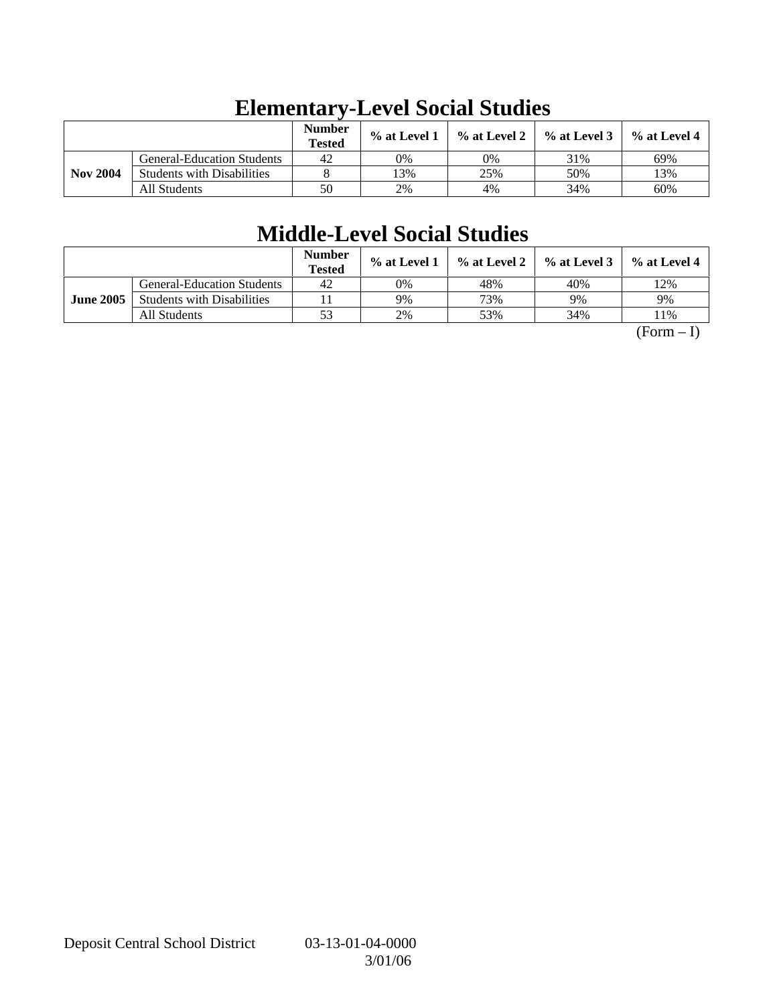|                 |                                   | <b>Number</b><br><b>Tested</b> | % at Level 1 | % at Level 2 | $%$ at Level 3 | $%$ at Level 4 |
|-----------------|-----------------------------------|--------------------------------|--------------|--------------|----------------|----------------|
|                 | <b>General-Education Students</b> | 42                             | 0%           | 0%           | 31%            | 69%            |
| <b>Nov 2004</b> | <b>Students with Disabilities</b> |                                | 3%           | 25%          | 50%            | 13%            |
|                 | All Students                      | 50                             | 2%           | 4%           | 34%            | 60%            |

# **Elementary-Level Social Studies**

# **Middle-Level Social Studies**

|                  |                                   | <b>Number</b><br><b>Tested</b> | $%$ at Level 1 | % at Level 2 | $%$ at Level 3 | $%$ at Level 4 |
|------------------|-----------------------------------|--------------------------------|----------------|--------------|----------------|----------------|
|                  | <b>General-Education Students</b> | 42                             | 0%             | 48%          | 40%            | 12%            |
| <b>June 2005</b> | <b>Students with Disabilities</b> |                                | 9%             | 73%          | 9%             | 9%             |
|                  | All Students                      | 53                             | 2%             | 53%          | 34%            | 11%            |

 $(Form - I)$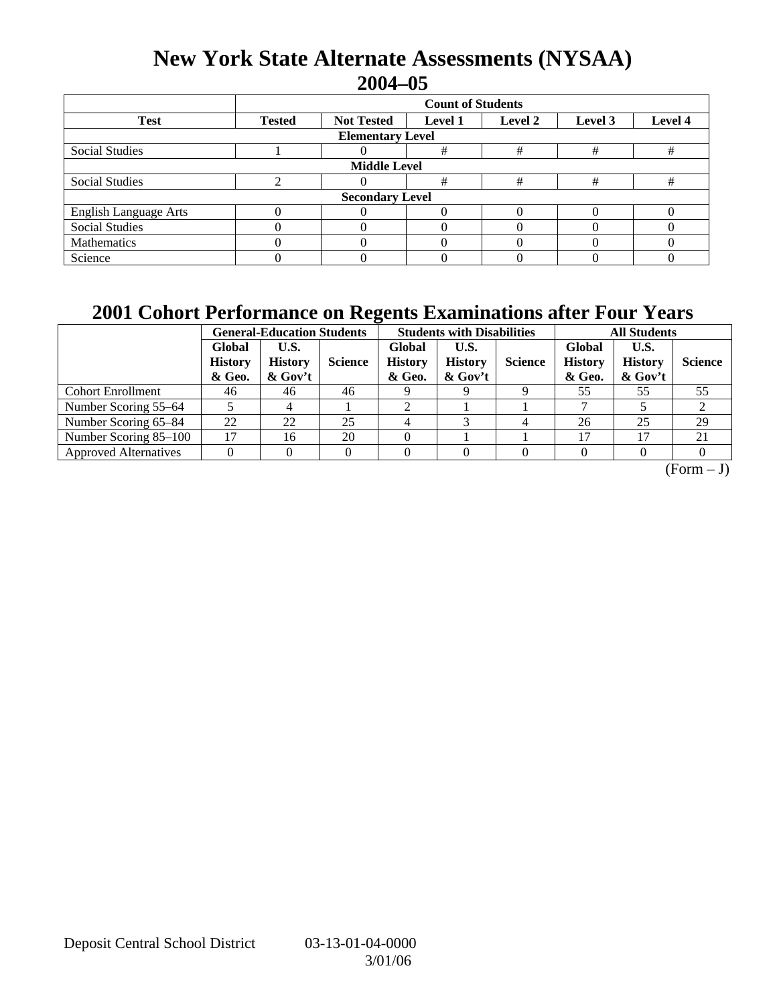### **New York State Alternate Assessments (NYSAA) 2004–05**

|                              | <b>Count of Students</b> |                   |                |         |                    |   |  |  |  |
|------------------------------|--------------------------|-------------------|----------------|---------|--------------------|---|--|--|--|
| <b>Test</b>                  | <b>Tested</b>            | <b>Not Tested</b> | <b>Level 1</b> | Level 2 | Level 4<br>Level 3 |   |  |  |  |
| <b>Elementary Level</b>      |                          |                   |                |         |                    |   |  |  |  |
| <b>Social Studies</b>        |                          |                   | #              | #       | #                  | # |  |  |  |
| <b>Middle Level</b>          |                          |                   |                |         |                    |   |  |  |  |
| <b>Social Studies</b>        |                          |                   | #              | #       | #                  | # |  |  |  |
| <b>Secondary Level</b>       |                          |                   |                |         |                    |   |  |  |  |
| <b>English Language Arts</b> |                          |                   |                |         |                    |   |  |  |  |
| <b>Social Studies</b>        |                          |                   |                |         |                    |   |  |  |  |
| Mathematics                  |                          |                   |                |         |                    |   |  |  |  |
| Science                      |                          |                   |                |         |                    |   |  |  |  |

### **2001 Cohort Performance on Regents Examinations after Four Years**

|                              | <b>General-Education Students</b>  |                                     |                | <b>Students with Disabilities</b>  |                                      |                | <b>All Students</b>                |                                      |                |
|------------------------------|------------------------------------|-------------------------------------|----------------|------------------------------------|--------------------------------------|----------------|------------------------------------|--------------------------------------|----------------|
|                              | Global<br><b>History</b><br>& Geo. | U.S.<br><b>History</b><br>$&$ Gov't | <b>Science</b> | Global<br><b>History</b><br>& Geo. | U.S.<br><b>History</b><br>$\&$ Gov't | <b>Science</b> | Global<br><b>History</b><br>& Geo. | U.S.<br><b>History</b><br>$\&$ Gov't | <b>Science</b> |
| <b>Cohort Enrollment</b>     | 46                                 | 46                                  | 46             |                                    |                                      |                | 55                                 | 55                                   | 55             |
| Number Scoring 55–64         |                                    |                                     |                |                                    |                                      |                |                                    |                                      | ∠              |
| Number Scoring 65-84         | 22                                 | 22                                  | 25             |                                    |                                      |                | 26                                 | 25                                   | 29             |
| Number Scoring 85-100        | 17                                 | 16                                  | 20             |                                    |                                      |                | 17                                 | 17                                   | 21             |
| <b>Approved Alternatives</b> |                                    |                                     |                |                                    |                                      |                |                                    |                                      |                |

 $\overline{(Form - J)}$